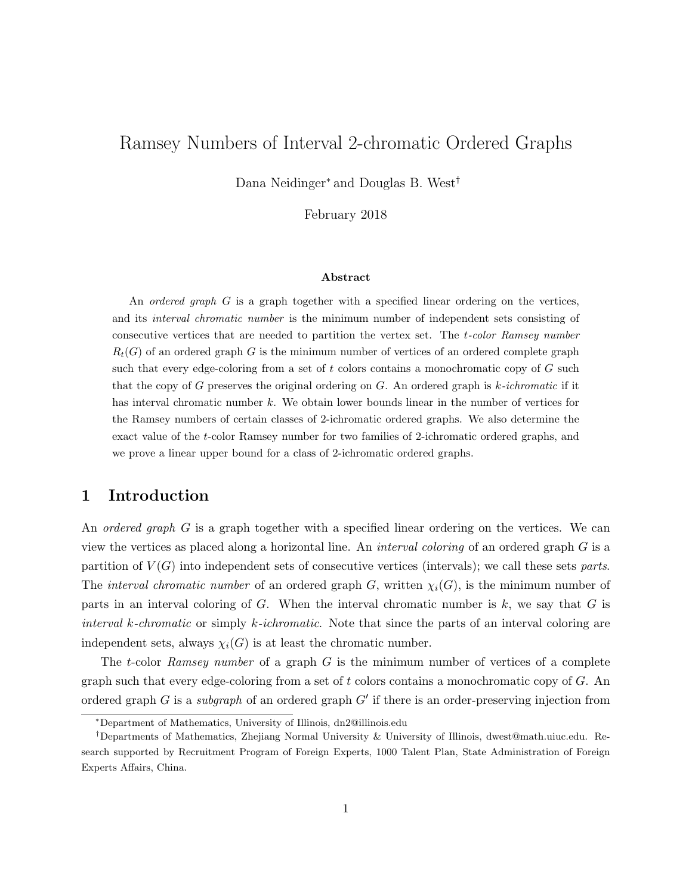# Ramsey Numbers of Interval 2-chromatic Ordered Graphs

Dana Neidinger<sup>∗</sup> and Douglas B. West†

February 2018

#### Abstract

An *ordered graph* G is a graph together with a specified linear ordering on the vertices, and its *interval chromatic number* is the minimum number of independent sets consisting of consecutive vertices that are needed to partition the vertex set. The t-color Ramsey number  $R_t(G)$  of an ordered graph G is the minimum number of vertices of an ordered complete graph such that every edge-coloring from a set of t colors contains a monochromatic copy of  $G$  such that the copy of G preserves the original ordering on  $G$ . An ordered graph is  $k$ -ichromatic if it has interval chromatic number k. We obtain lower bounds linear in the number of vertices for the Ramsey numbers of certain classes of 2-ichromatic ordered graphs. We also determine the exact value of the t-color Ramsey number for two families of 2-ichromatic ordered graphs, and we prove a linear upper bound for a class of 2-ichromatic ordered graphs.

### 1 Introduction

An *ordered graph* G is a graph together with a specified linear ordering on the vertices. We can view the vertices as placed along a horizontal line. An interval coloring of an ordered graph G is a partition of  $V(G)$  into independent sets of consecutive vertices (intervals); we call these sets parts. The *interval chromatic number* of an ordered graph G, written  $\chi_i(G)$ , is the minimum number of parts in an interval coloring of  $G$ . When the interval chromatic number is  $k$ , we say that  $G$  is interval k-chromatic or simply k-ichromatic. Note that since the parts of an interval coloring are independent sets, always  $\chi_i(G)$  is at least the chromatic number.

The t-color Ramsey number of a graph  $G$  is the minimum number of vertices of a complete graph such that every edge-coloring from a set of  $t$  colors contains a monochromatic copy of  $G$ . An ordered graph G is a *subgraph* of an ordered graph  $G'$  if there is an order-preserving injection from

<sup>∗</sup>Department of Mathematics, University of Illinois, dn2@illinois.edu

<sup>†</sup>Departments of Mathematics, Zhejiang Normal University & University of Illinois, dwest@math.uiuc.edu. Research supported by Recruitment Program of Foreign Experts, 1000 Talent Plan, State Administration of Foreign Experts Affairs, China.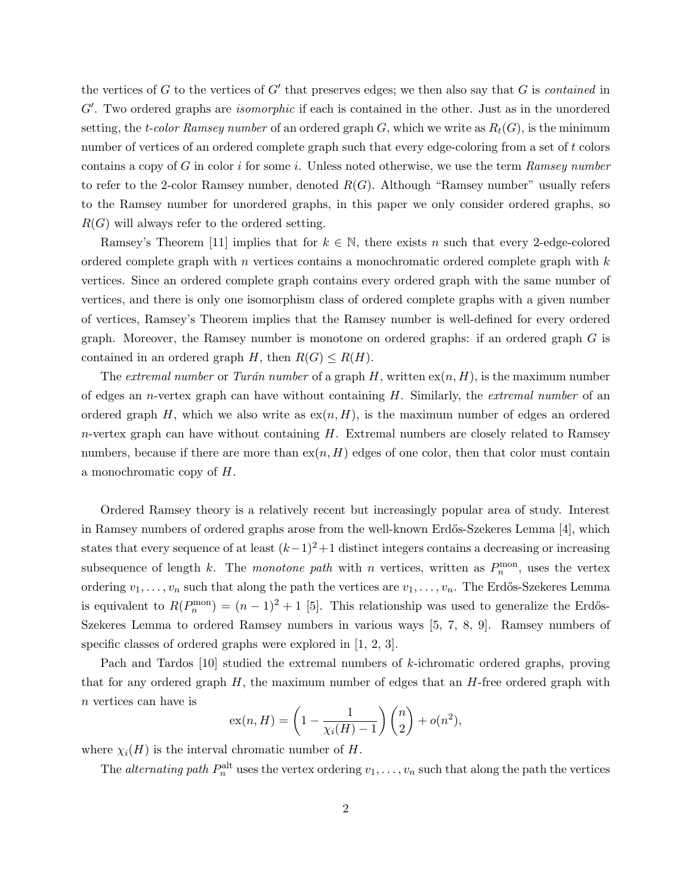the vertices of  $G$  to the vertices of  $G'$  that preserves edges; we then also say that  $G$  is *contained* in  $G'$ . Two ordered graphs are *isomorphic* if each is contained in the other. Just as in the unordered setting, the t-color Ramsey number of an ordered graph G, which we write as  $R_t(G)$ , is the minimum number of vertices of an ordered complete graph such that every edge-coloring from a set of t colors contains a copy of G in color i for some i. Unless noted otherwise, we use the term Ramsey number to refer to the 2-color Ramsey number, denoted  $R(G)$ . Although "Ramsey number" usually refers to the Ramsey number for unordered graphs, in this paper we only consider ordered graphs, so  $R(G)$  will always refer to the ordered setting.

Ramsey's Theorem [11] implies that for  $k \in \mathbb{N}$ , there exists n such that every 2-edge-colored ordered complete graph with n vertices contains a monochromatic ordered complete graph with  $k$ vertices. Since an ordered complete graph contains every ordered graph with the same number of vertices, and there is only one isomorphism class of ordered complete graphs with a given number of vertices, Ramsey's Theorem implies that the Ramsey number is well-defined for every ordered graph. Moreover, the Ramsey number is monotone on ordered graphs: if an ordered graph  $G$  is contained in an ordered graph H, then  $R(G) \leq R(H)$ .

The extremal number or Turán number of a graph  $H$ , written  $ex(n, H)$ , is the maximum number of edges an *n*-vertex graph can have without containing  $H$ . Similarly, the *extremal number* of an ordered graph H, which we also write as  $ex(n, H)$ , is the maximum number of edges an ordered  $n$ -vertex graph can have without containing  $H$ . Extremal numbers are closely related to Ramsey numbers, because if there are more than  $ex(n, H)$  edges of one color, then that color must contain a monochromatic copy of H.

Ordered Ramsey theory is a relatively recent but increasingly popular area of study. Interest in Ramsey numbers of ordered graphs arose from the well-known Erdős-Szekeres Lemma [4], which states that every sequence of at least  $(k-1)^2+1$  distinct integers contains a decreasing or increasing subsequence of length k. The monotone path with n vertices, written as  $P_n^{\text{mon}}$ , uses the vertex ordering  $v_1, \ldots, v_n$  such that along the path the vertices are  $v_1, \ldots, v_n$ . The Erdős-Szekeres Lemma is equivalent to  $R(P_n^{\text{mon}}) = (n-1)^2 + 1$  [5]. This relationship was used to generalize the Erdős-Szekeres Lemma to ordered Ramsey numbers in various ways [5, 7, 8, 9]. Ramsey numbers of specific classes of ordered graphs were explored in [1, 2, 3].

Pach and Tardos [10] studied the extremal numbers of k-ichromatic ordered graphs, proving that for any ordered graph  $H$ , the maximum number of edges that an  $H$ -free ordered graph with n vertices can have is

$$
ex(n, H) = \left(1 - \frac{1}{\chi_i(H) - 1}\right)\binom{n}{2} + o(n^2),
$$

where  $\chi_i(H)$  is the interval chromatic number of H.

The *alternating path*  $P_n^{\text{alt}}$  uses the vertex ordering  $v_1, \ldots, v_n$  such that along the path the vertices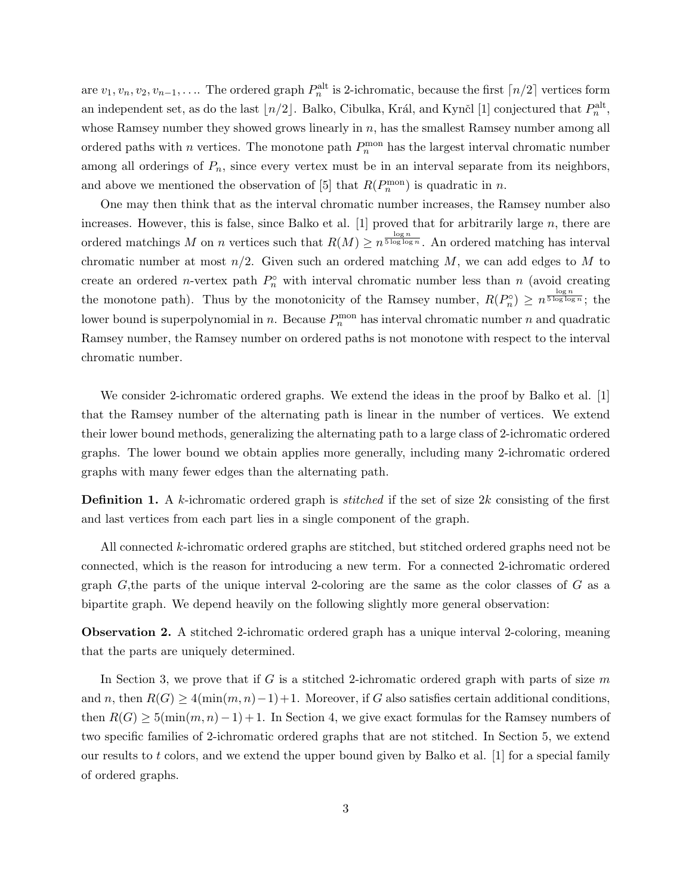are  $v_1, v_n, v_2, v_{n-1}, \ldots$  The ordered graph  $P_n^{\text{alt}}$  is 2-ichromatic, because the first  $\lceil n/2 \rceil$  vertices form an independent set, as do the last  $\lfloor n/2 \rfloor$ . Balko, Cibulka, Král, and Kynčl [1] conjectured that  $P_n^{\text{alt}}$ , whose Ramsey number they showed grows linearly in  $n$ , has the smallest Ramsey number among all ordered paths with n vertices. The monotone path  $P_n^{\text{mon}}$  has the largest interval chromatic number among all orderings of  $P_n$ , since every vertex must be in an interval separate from its neighbors, and above we mentioned the observation of [5] that  $R(P_n^{\text{mon}})$  is quadratic in n.

One may then think that as the interval chromatic number increases, the Ramsey number also increases. However, this is false, since Balko et al. [1] proved that for arbitrarily large n, there are ordered matchings M on n vertices such that  $R(M) \geq n^{\frac{\log n}{5 \log \log n}}$ . An ordered matching has interval chromatic number at most  $n/2$ . Given such an ordered matching M, we can add edges to M to create an ordered *n*-vertex path  $P_n^{\circ}$  with interval chromatic number less than *n* (avoid creating the monotone path). Thus by the monotonicity of the Ramsey number,  $R(P_n^{\circ}) \ge n^{\frac{\log n}{5 \log \log n}}$ ; the lower bound is superpolynomial in n. Because  $P_n^{\text{mon}}$  has interval chromatic number n and quadratic Ramsey number, the Ramsey number on ordered paths is not monotone with respect to the interval chromatic number.

We consider 2-ichromatic ordered graphs. We extend the ideas in the proof by Balko et al. [1] that the Ramsey number of the alternating path is linear in the number of vertices. We extend their lower bound methods, generalizing the alternating path to a large class of 2-ichromatic ordered graphs. The lower bound we obtain applies more generally, including many 2-ichromatic ordered graphs with many fewer edges than the alternating path.

**Definition 1.** A k-ichromatic ordered graph is *stitched* if the set of size 2k consisting of the first and last vertices from each part lies in a single component of the graph.

All connected k-ichromatic ordered graphs are stitched, but stitched ordered graphs need not be connected, which is the reason for introducing a new term. For a connected 2-ichromatic ordered graph  $G$ , the parts of the unique interval 2-coloring are the same as the color classes of  $G$  as a bipartite graph. We depend heavily on the following slightly more general observation:

Observation 2. A stitched 2-ichromatic ordered graph has a unique interval 2-coloring, meaning that the parts are uniquely determined.

In Section 3, we prove that if G is a stitched 2-ichromatic ordered graph with parts of size  $m$ and n, then  $R(G) \geq 4(\min(m, n)-1)+1$ . Moreover, if G also satisfies certain additional conditions, then  $R(G) \geq 5(\min(m, n)-1)+1$ . In Section 4, we give exact formulas for the Ramsey numbers of two specific families of 2-ichromatic ordered graphs that are not stitched. In Section 5, we extend our results to t colors, and we extend the upper bound given by Balko et al.  $[1]$  for a special family of ordered graphs.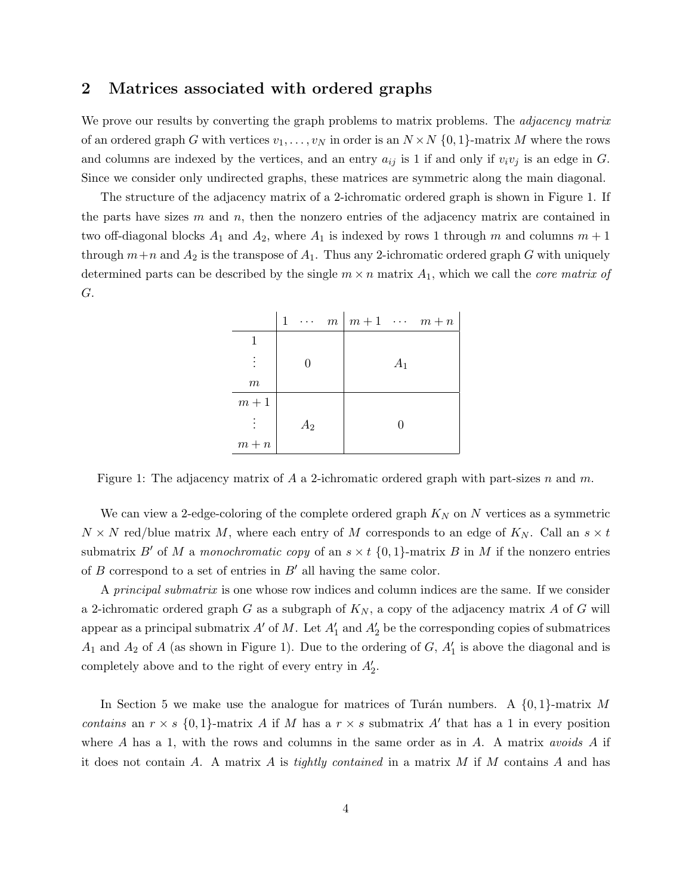#### 2 Matrices associated with ordered graphs

We prove our results by converting the graph problems to matrix problems. The *adjacency matrix* of an ordered graph G with vertices  $v_1, \ldots, v_N$  in order is an  $N \times N$   $\{0, 1\}$ -matrix M where the rows and columns are indexed by the vertices, and an entry  $a_{ij}$  is 1 if and only if  $v_i v_j$  is an edge in G. Since we consider only undirected graphs, these matrices are symmetric along the main diagonal.

The structure of the adjacency matrix of a 2-ichromatic ordered graph is shown in Figure 1. If the parts have sizes  $m$  and  $n$ , then the nonzero entries of the adjacency matrix are contained in two off-diagonal blocks  $A_1$  and  $A_2$ , where  $A_1$  is indexed by rows 1 through m and columns  $m + 1$ through  $m+n$  and  $A_2$  is the transpose of  $A_1$ . Thus any 2-ichromatic ordered graph G with uniquely determined parts can be described by the single  $m \times n$  matrix  $A_1$ , which we call the *core matrix of* G.

|         | $\mathbf{1}$<br>$\cdots$ m | $m+1 \cdots m+n$ |
|---------|----------------------------|------------------|
|         |                            |                  |
|         |                            | $A_1$            |
| $\,m$   |                            |                  |
| $m+1$   |                            |                  |
|         | $A_2$                      |                  |
| $m + n$ |                            |                  |

Figure 1: The adjacency matrix of A a 2-ichromatic ordered graph with part-sizes n and m.

We can view a 2-edge-coloring of the complete ordered graph  $K_N$  on N vertices as a symmetric  $N \times N$  red/blue matrix M, where each entry of M corresponds to an edge of  $K_N$ . Call an  $s \times t$ submatrix B' of M a monochromatic copy of an  $s \times t$  {0, 1}-matrix B in M if the nonzero entries of B correspond to a set of entries in  $B'$  all having the same color.

A principal submatrix is one whose row indices and column indices are the same. If we consider a 2-ichromatic ordered graph G as a subgraph of  $K_N$ , a copy of the adjacency matrix A of G will appear as a principal submatrix  $A'$  of M. Let  $A'_1$  and  $A'_2$  be the corresponding copies of submatrices  $A_1$  and  $A_2$  of A (as shown in Figure 1). Due to the ordering of G,  $A'_1$  is above the diagonal and is completely above and to the right of every entry in  $A'_2$ .

In Section 5 we make use the analogue for matrices of Turán numbers. A  $\{0, 1\}$ -matrix M contains an  $r \times s$  {0,1}-matrix A if M has a  $r \times s$  submatrix A' that has a 1 in every position where A has a 1, with the rows and columns in the same order as in A. A matrix *avoids* A if it does not contain A. A matrix A is tightly contained in a matrix M if M contains A and has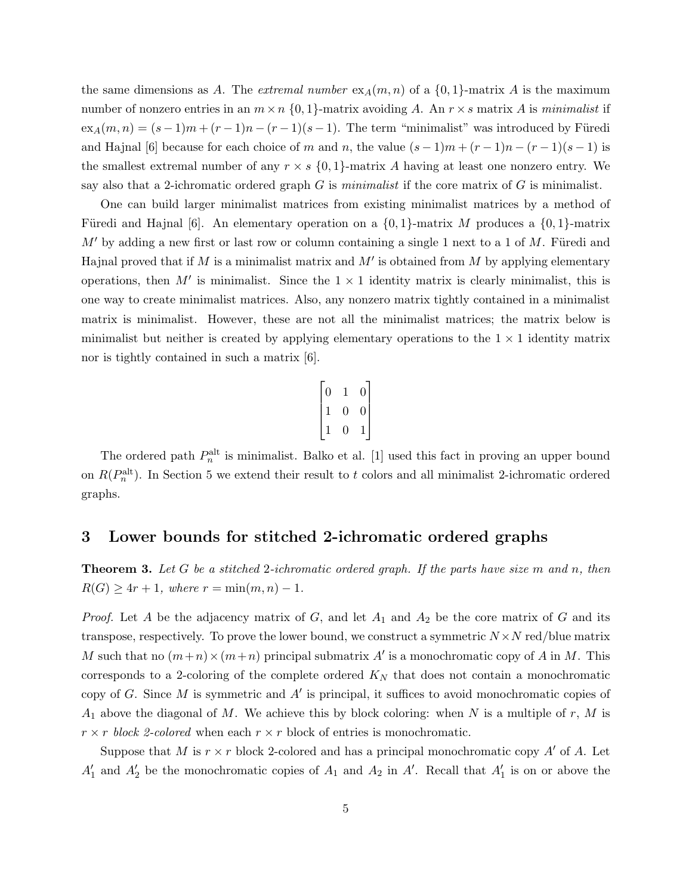the same dimensions as A. The *extremal number*  $ex_A(m, n)$  of a  $\{0, 1\}$ -matrix A is the maximum number of nonzero entries in an  $m \times n \{0, 1\}$ -matrix avoiding A. An  $r \times s$  matrix A is minimalist if  $ex_A(m, n) = (s - 1)m + (r - 1)n - (r - 1)(s - 1)$ . The term "minimalist" was introduced by Füredi and Hajnal [6] because for each choice of m and n, the value  $(s-1)m + (r-1)n - (r-1)(s-1)$  is the smallest extremal number of any  $r \times s \{0,1\}$ -matrix A having at least one nonzero entry. We say also that a 2-ichromatic ordered graph  $G$  is *minimalist* if the core matrix of  $G$  is minimalist.

One can build larger minimalist matrices from existing minimalist matrices by a method of Füredi and Hajnal [6]. An elementary operation on a  $\{0,1\}$ -matrix M produces a  $\{0,1\}$ -matrix  $M'$  by adding a new first or last row or column containing a single 1 next to a 1 of M. Füredi and Hajnal proved that if M is a minimalist matrix and  $M'$  is obtained from M by applying elementary operations, then  $M'$  is minimalist. Since the  $1 \times 1$  identity matrix is clearly minimalist, this is one way to create minimalist matrices. Also, any nonzero matrix tightly contained in a minimalist matrix is minimalist. However, these are not all the minimalist matrices; the matrix below is minimalist but neither is created by applying elementary operations to the  $1 \times 1$  identity matrix nor is tightly contained in such a matrix [6].

|   | 0              |
|---|----------------|
| U | $\overline{0}$ |
|   |                |
|   |                |

The ordered path  $P_n^{\text{alt}}$  is minimalist. Balko et al. [1] used this fact in proving an upper bound on  $R(P_n^{\text{alt}})$ . In Section 5 we extend their result to t colors and all minimalist 2-ichromatic ordered graphs.

#### 3 Lower bounds for stitched 2-ichromatic ordered graphs

**Theorem 3.** Let G be a stitched 2-ichromatic ordered graph. If the parts have size m and n, then  $R(G) \ge 4r + 1$ , where  $r = \min(m, n) - 1$ .

*Proof.* Let A be the adjacency matrix of G, and let  $A_1$  and  $A_2$  be the core matrix of G and its transpose, respectively. To prove the lower bound, we construct a symmetric  $N \times N$  red/blue matrix M such that no  $(m+n) \times (m+n)$  principal submatrix A' is a monochromatic copy of A in M. This corresponds to a 2-coloring of the complete ordered  $K_N$  that does not contain a monochromatic copy of G. Since M is symmetric and  $A'$  is principal, it suffices to avoid monochromatic copies of  $A_1$  above the diagonal of M. We achieve this by block coloring: when N is a multiple of r, M is  $r \times r$  block 2-colored when each  $r \times r$  block of entries is monochromatic.

Suppose that M is  $r \times r$  block 2-colored and has a principal monochromatic copy A' of A. Let  $A'_1$  and  $A'_2$  be the monochromatic copies of  $A_1$  and  $A_2$  in  $A'$ . Recall that  $A'_1$  is on or above the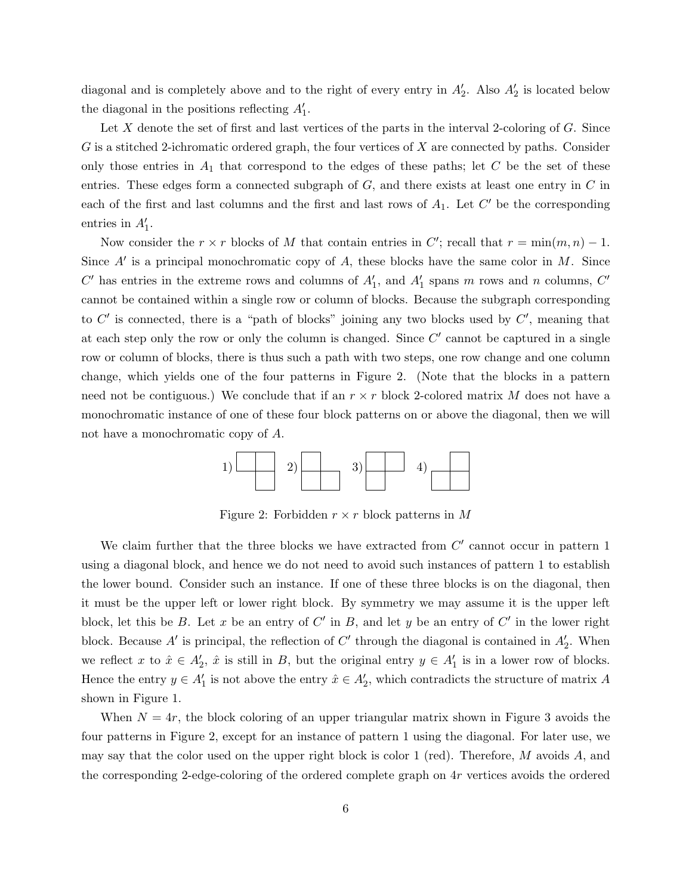diagonal and is completely above and to the right of every entry in  $A'_2$ . Also  $A'_2$  is located below the diagonal in the positions reflecting  $A'_1$ .

Let X denote the set of first and last vertices of the parts in the interval 2-coloring of  $G$ . Since G is a stitched 2-ichromatic ordered graph, the four vertices of X are connected by paths. Consider only those entries in  $A_1$  that correspond to the edges of these paths; let  $C$  be the set of these entries. These edges form a connected subgraph of  $G$ , and there exists at least one entry in  $C$  in each of the first and last columns and the first and last rows of  $A_1$ . Let  $C'$  be the corresponding entries in  $A'_1$ .

Now consider the  $r \times r$  blocks of M that contain entries in C'; recall that  $r = \min(m, n) - 1$ . Since  $A'$  is a principal monochromatic copy of  $A$ , these blocks have the same color in  $M$ . Since  $C'$  has entries in the extreme rows and columns of  $A'_1$ , and  $A'_1$  spans m rows and n columns,  $C'$ cannot be contained within a single row or column of blocks. Because the subgraph corresponding to  $C'$  is connected, there is a "path of blocks" joining any two blocks used by  $C'$ , meaning that at each step only the row or only the column is changed. Since  $C'$  cannot be captured in a single row or column of blocks, there is thus such a path with two steps, one row change and one column change, which yields one of the four patterns in Figure 2. (Note that the blocks in a pattern need not be contiguous.) We conclude that if an  $r \times r$  block 2-colored matrix M does not have a monochromatic instance of one of these four block patterns on or above the diagonal, then we will not have a monochromatic copy of A.



Figure 2: Forbidden  $r \times r$  block patterns in M

We claim further that the three blocks we have extracted from  $C'$  cannot occur in pattern 1 using a diagonal block, and hence we do not need to avoid such instances of pattern 1 to establish the lower bound. Consider such an instance. If one of these three blocks is on the diagonal, then it must be the upper left or lower right block. By symmetry we may assume it is the upper left block, let this be B. Let x be an entry of  $C'$  in B, and let y be an entry of  $C'$  in the lower right block. Because  $A'$  is principal, the reflection of  $C'$  through the diagonal is contained in  $A'_2$ . When we reflect x to  $\hat{x} \in A'_2$ ,  $\hat{x}$  is still in B, but the original entry  $y \in A'_1$  is in a lower row of blocks. Hence the entry  $y \in A'_1$  is not above the entry  $\hat{x} \in A'_2$ , which contradicts the structure of matrix A shown in Figure 1.

When  $N = 4r$ , the block coloring of an upper triangular matrix shown in Figure 3 avoids the four patterns in Figure 2, except for an instance of pattern 1 using the diagonal. For later use, we may say that the color used on the upper right block is color 1 (red). Therefore,  $M$  avoids  $A$ , and the corresponding 2-edge-coloring of the ordered complete graph on 4r vertices avoids the ordered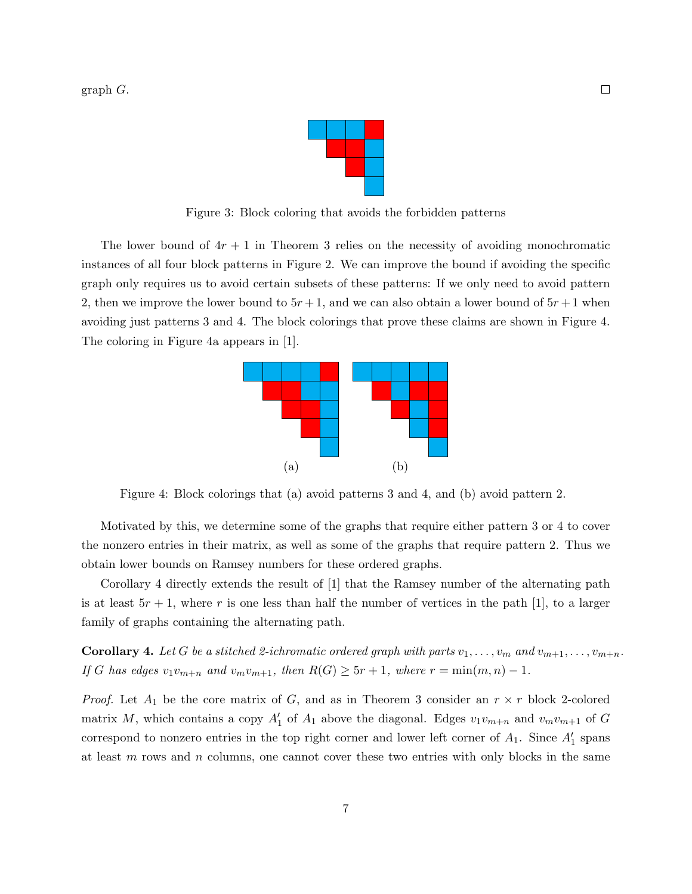graph G.



Figure 3: Block coloring that avoids the forbidden patterns

The lower bound of  $4r + 1$  in Theorem 3 relies on the necessity of avoiding monochromatic instances of all four block patterns in Figure 2. We can improve the bound if avoiding the specific graph only requires us to avoid certain subsets of these patterns: If we only need to avoid pattern 2, then we improve the lower bound to  $5r + 1$ , and we can also obtain a lower bound of  $5r + 1$  when avoiding just patterns 3 and 4. The block colorings that prove these claims are shown in Figure 4. The coloring in Figure 4a appears in [1].



Figure 4: Block colorings that (a) avoid patterns 3 and 4, and (b) avoid pattern 2.

Motivated by this, we determine some of the graphs that require either pattern 3 or 4 to cover the nonzero entries in their matrix, as well as some of the graphs that require pattern 2. Thus we obtain lower bounds on Ramsey numbers for these ordered graphs.

Corollary 4 directly extends the result of [1] that the Ramsey number of the alternating path is at least  $5r + 1$ , where r is one less than half the number of vertices in the path [1], to a larger family of graphs containing the alternating path.

**Corollary 4.** Let G be a stitched 2-ichromatic ordered graph with parts  $v_1, \ldots, v_m$  and  $v_{m+1}, \ldots, v_{m+n}$ . If G has edges  $v_1v_{m+n}$  and  $v_mv_{m+1}$ , then  $R(G) \ge 5r+1$ , where  $r = \min(m, n) - 1$ .

*Proof.* Let  $A_1$  be the core matrix of G, and as in Theorem 3 consider an  $r \times r$  block 2-colored matrix M, which contains a copy  $A'_1$  of  $A_1$  above the diagonal. Edges  $v_1v_{m+n}$  and  $v_mv_{m+1}$  of G correspond to nonzero entries in the top right corner and lower left corner of  $A_1$ . Since  $A'_1$  spans at least  $m$  rows and  $n$  columns, one cannot cover these two entries with only blocks in the same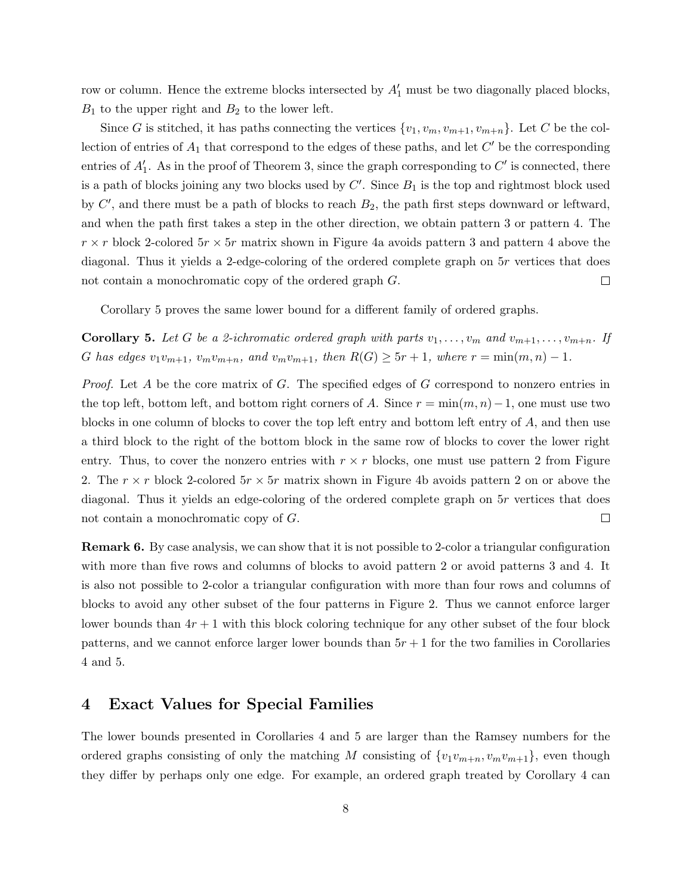row or column. Hence the extreme blocks intersected by  $A'_1$  must be two diagonally placed blocks,  $B_1$  to the upper right and  $B_2$  to the lower left.

Since G is stitched, it has paths connecting the vertices  $\{v_1, v_m, v_{m+1}, v_{m+n}\}\.$  Let C be the collection of entries of  $A_1$  that correspond to the edges of these paths, and let  $C'$  be the corresponding entries of  $A'_1$ . As in the proof of Theorem 3, since the graph corresponding to  $C'$  is connected, there is a path of blocks joining any two blocks used by  $C'$ . Since  $B_1$  is the top and rightmost block used by  $C'$ , and there must be a path of blocks to reach  $B_2$ , the path first steps downward or leftward, and when the path first takes a step in the other direction, we obtain pattern 3 or pattern 4. The  $r \times r$  block 2-colored  $5r \times 5r$  matrix shown in Figure 4a avoids pattern 3 and pattern 4 above the diagonal. Thus it yields a 2-edge-coloring of the ordered complete graph on 5r vertices that does not contain a monochromatic copy of the ordered graph G.  $\Box$ 

Corollary 5 proves the same lower bound for a different family of ordered graphs.

**Corollary 5.** Let G be a 2-ichromatic ordered graph with parts  $v_1, \ldots, v_m$  and  $v_{m+1}, \ldots, v_{m+n}$ . If G has edges  $v_1v_{m+1}$ ,  $v_mv_{m+n}$ , and  $v_mv_{m+1}$ , then  $R(G) \ge 5r+1$ , where  $r = \min(m, n) - 1$ .

*Proof.* Let  $A$  be the core matrix of  $G$ . The specified edges of  $G$  correspond to nonzero entries in the top left, bottom left, and bottom right corners of A. Since  $r = \min(m, n) - 1$ , one must use two blocks in one column of blocks to cover the top left entry and bottom left entry of A, and then use a third block to the right of the bottom block in the same row of blocks to cover the lower right entry. Thus, to cover the nonzero entries with  $r \times r$  blocks, one must use pattern 2 from Figure 2. The  $r \times r$  block 2-colored  $5r \times 5r$  matrix shown in Figure 4b avoids pattern 2 on or above the diagonal. Thus it yields an edge-coloring of the ordered complete graph on 5r vertices that does not contain a monochromatic copy of G.  $\Box$ 

Remark 6. By case analysis, we can show that it is not possible to 2-color a triangular configuration with more than five rows and columns of blocks to avoid pattern 2 or avoid patterns 3 and 4. It is also not possible to 2-color a triangular configuration with more than four rows and columns of blocks to avoid any other subset of the four patterns in Figure 2. Thus we cannot enforce larger lower bounds than  $4r + 1$  with this block coloring technique for any other subset of the four block patterns, and we cannot enforce larger lower bounds than  $5r + 1$  for the two families in Corollaries 4 and 5.

#### 4 Exact Values for Special Families

The lower bounds presented in Corollaries 4 and 5 are larger than the Ramsey numbers for the ordered graphs consisting of only the matching M consisting of  $\{v_1v_{m+n}, v_mv_{m+1}\}$ , even though they differ by perhaps only one edge. For example, an ordered graph treated by Corollary 4 can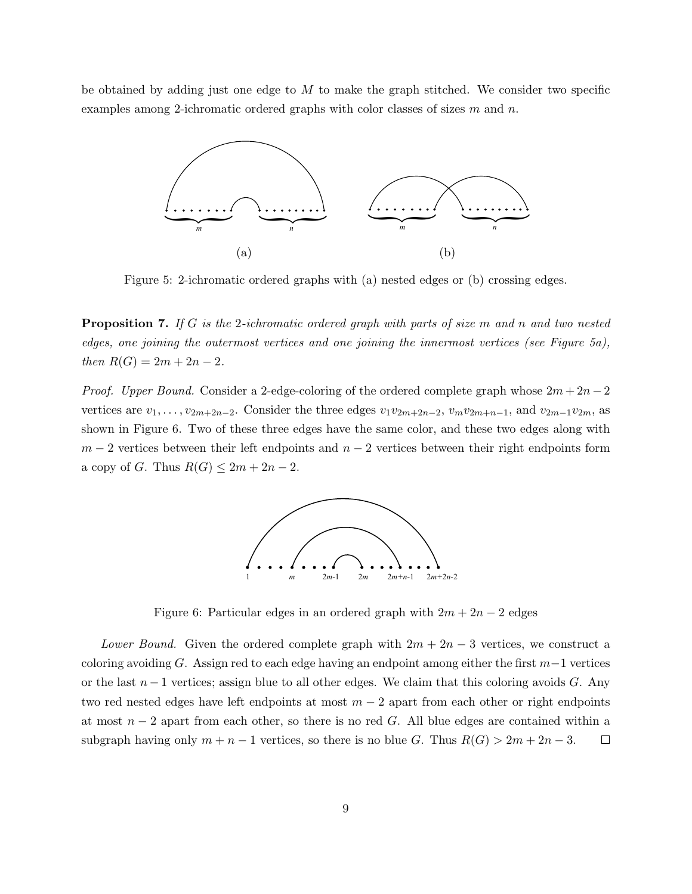be obtained by adding just one edge to  $M$  to make the graph stitched. We consider two specific examples among 2-ichromatic ordered graphs with color classes of sizes  $m$  and  $n$ .



Figure 5: 2-ichromatic ordered graphs with (a) nested edges or (b) crossing edges.

**Proposition 7.** If G is the 2-ichromatic ordered graph with parts of size m and n and two nested edges, one joining the outermost vertices and one joining the innermost vertices (see Figure 5a), then  $R(G) = 2m + 2n - 2$ .

*Proof.* Upper Bound. Consider a 2-edge-coloring of the ordered complete graph whose  $2m + 2n - 2$ vertices are  $v_1, \ldots, v_{2m+2n-2}$ . Consider the three edges  $v_1v_{2m+2n-2}$ ,  $v_mv_{2m+n-1}$ , and  $v_{2m-1}v_{2m}$ , as shown in Figure 6. Two of these three edges have the same color, and these two edges along with  $m-2$  vertices between their left endpoints and  $n-2$  vertices between their right endpoints form a copy of G. Thus  $R(G) \leq 2m + 2n - 2$ .



Figure 6: Particular edges in an ordered graph with  $2m + 2n - 2$  edges

Lower Bound. Given the ordered complete graph with  $2m + 2n - 3$  vertices, we construct a coloring avoiding G. Assign red to each edge having an endpoint among either the first  $m-1$  vertices or the last  $n-1$  vertices; assign blue to all other edges. We claim that this coloring avoids G. Any two red nested edges have left endpoints at most  $m-2$  apart from each other or right endpoints at most  $n-2$  apart from each other, so there is no red G. All blue edges are contained within a subgraph having only  $m + n - 1$  vertices, so there is no blue G. Thus  $R(G) > 2m + 2n - 3$ .  $\Box$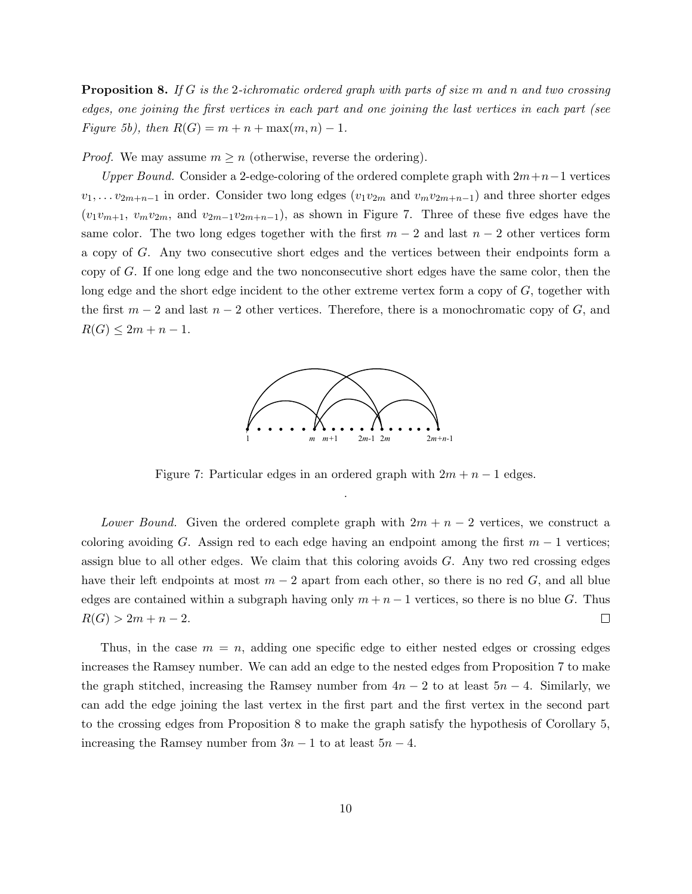**Proposition 8.** If G is the 2-ichromatic ordered graph with parts of size m and n and two crossing edges, one joining the first vertices in each part and one joining the last vertices in each part (see Figure 5b), then  $R(G) = m + n + \max(m, n) - 1$ .

*Proof.* We may assume  $m \geq n$  (otherwise, reverse the ordering).

Upper Bound. Consider a 2-edge-coloring of the ordered complete graph with  $2m+n-1$  vertices  $v_1, \ldots v_{2m+n-1}$  in order. Consider two long edges  $(v_1v_{2m}$  and  $v_mv_{2m+n-1})$  and three shorter edges  $(v_1v_{m+1}, v_mv_{2m},$  and  $v_{2m-1}v_{2m+n-1}$ , as shown in Figure 7. Three of these five edges have the same color. The two long edges together with the first  $m-2$  and last  $n-2$  other vertices form a copy of G. Any two consecutive short edges and the vertices between their endpoints form a copy of G. If one long edge and the two nonconsecutive short edges have the same color, then the long edge and the short edge incident to the other extreme vertex form a copy of G, together with the first  $m-2$  and last  $n-2$  other vertices. Therefore, there is a monochromatic copy of G, and  $R(G) \leq 2m + n - 1.$ 



Figure 7: Particular edges in an ordered graph with  $2m + n - 1$  edges. .

Lower Bound. Given the ordered complete graph with  $2m + n - 2$  vertices, we construct a coloring avoiding G. Assign red to each edge having an endpoint among the first  $m-1$  vertices; assign blue to all other edges. We claim that this coloring avoids G. Any two red crossing edges have their left endpoints at most  $m-2$  apart from each other, so there is no red G, and all blue edges are contained within a subgraph having only  $m + n - 1$  vertices, so there is no blue G. Thus  $R(G) > 2m + n - 2.$  $\Box$ 

Thus, in the case  $m = n$ , adding one specific edge to either nested edges or crossing edges increases the Ramsey number. We can add an edge to the nested edges from Proposition 7 to make the graph stitched, increasing the Ramsey number from  $4n - 2$  to at least  $5n - 4$ . Similarly, we can add the edge joining the last vertex in the first part and the first vertex in the second part to the crossing edges from Proposition 8 to make the graph satisfy the hypothesis of Corollary 5, increasing the Ramsey number from  $3n - 1$  to at least  $5n - 4$ .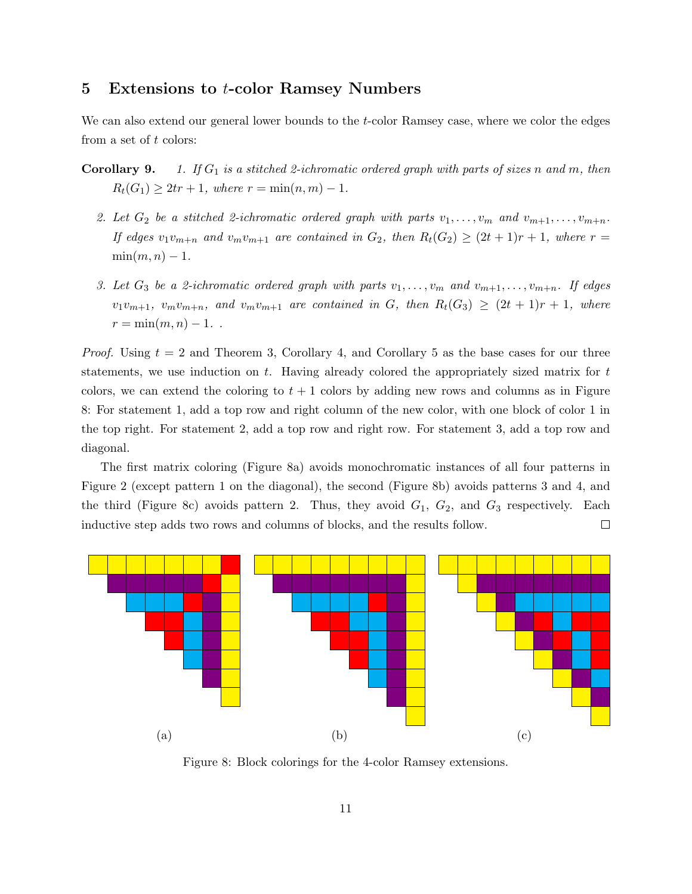#### 5 Extensions to t-color Ramsey Numbers

We can also extend our general lower bounds to the *t*-color Ramsey case, where we color the edges from a set of t colors:

- **Corollary 9.** 1. If  $G_1$  is a stitched 2-ichromatic ordered graph with parts of sizes n and m, then  $R_t(G_1) \geq 2tr + 1$ , where  $r = \min(n, m) - 1$ .
	- 2. Let  $G_2$  be a stitched 2-ichromatic ordered graph with parts  $v_1, \ldots, v_m$  and  $v_{m+1}, \ldots, v_{m+n}$ . If edges  $v_1v_{m+n}$  and  $v_mv_{m+1}$  are contained in  $G_2$ , then  $R_t(G_2) \geq (2t+1)r+1$ , where  $r =$  $\min(m, n) - 1$ .
	- 3. Let  $G_3$  be a 2-ichromatic ordered graph with parts  $v_1, \ldots, v_m$  and  $v_{m+1}, \ldots, v_{m+n}$ . If edges  $v_1v_{m+1}$ ,  $v_mv_{m+n}$ , and  $v_mv_{m+1}$  are contained in G, then  $R_t(G_3) \geq (2t+1)r+1$ , where  $r = \min(m, n) - 1$ .

*Proof.* Using  $t = 2$  and Theorem 3, Corollary 4, and Corollary 5 as the base cases for our three statements, we use induction on  $t$ . Having already colored the appropriately sized matrix for  $t$ colors, we can extend the coloring to  $t + 1$  colors by adding new rows and columns as in Figure 8: For statement 1, add a top row and right column of the new color, with one block of color 1 in the top right. For statement 2, add a top row and right row. For statement 3, add a top row and diagonal.

The first matrix coloring (Figure 8a) avoids monochromatic instances of all four patterns in Figure 2 (except pattern 1 on the diagonal), the second (Figure 8b) avoids patterns 3 and 4, and the third (Figure 8c) avoids pattern 2. Thus, they avoid  $G_1$ ,  $G_2$ , and  $G_3$  respectively. Each inductive step adds two rows and columns of blocks, and the results follow.  $\Box$ 



Figure 8: Block colorings for the 4-color Ramsey extensions.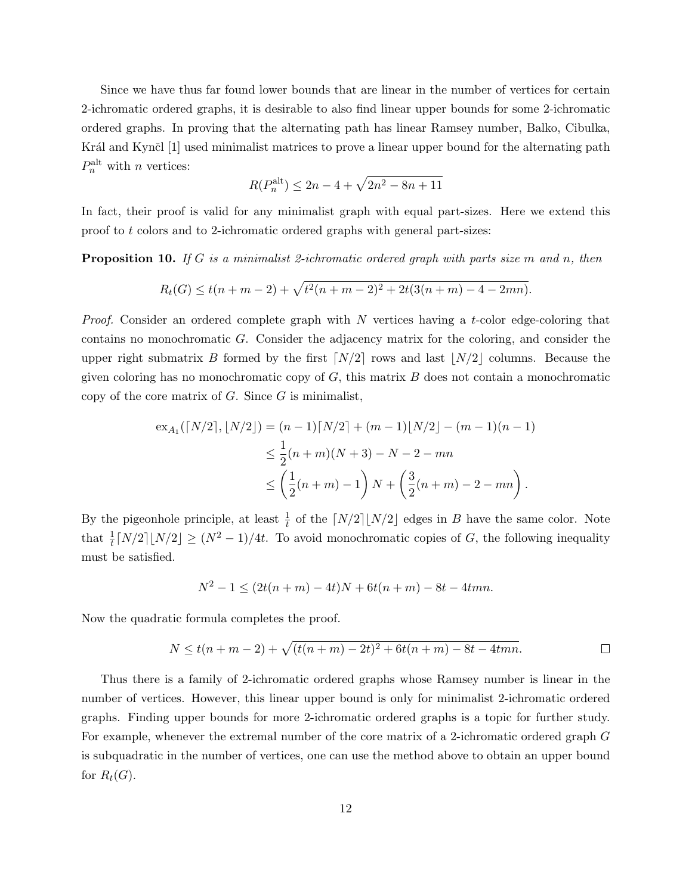Since we have thus far found lower bounds that are linear in the number of vertices for certain 2-ichromatic ordered graphs, it is desirable to also find linear upper bounds for some 2-ichromatic ordered graphs. In proving that the alternating path has linear Ramsey number, Balko, Cibulka, Král and Kynčl [1] used minimalist matrices to prove a linear upper bound for the alternating path  $P_n^{\text{alt}}$  with *n* vertices:

$$
R(P_n^{\text{alt}}) \le 2n - 4 + \sqrt{2n^2 - 8n + 11}
$$

In fact, their proof is valid for any minimalist graph with equal part-sizes. Here we extend this proof to t colors and to 2-ichromatic ordered graphs with general part-sizes:

**Proposition 10.** If G is a minimalist 2-ichromatic ordered graph with parts size m and n, then

$$
R_t(G) \le t(n+m-2) + \sqrt{t^2(n+m-2)^2 + 2t(3(n+m) - 4 - 2mn)}.
$$

*Proof.* Consider an ordered complete graph with  $N$  vertices having a t-color edge-coloring that contains no monochromatic G. Consider the adjacency matrix for the coloring, and consider the upper right submatrix B formed by the first  $\lceil N/2 \rceil$  rows and last  $\lceil N/2 \rceil$  columns. Because the given coloring has no monochromatic copy of  $G$ , this matrix  $B$  does not contain a monochromatic copy of the core matrix of  $G$ . Since  $G$  is minimalist,

$$
\begin{aligned} \exp(A_1([N/2],[N/2]) &= (n-1)[N/2] + (m-1)[N/2] - (m-1)(n-1) \\ &\le \frac{1}{2}(n+m)(N+3) - N - 2 - mn \\ &\le \left(\frac{1}{2}(n+m) - 1\right)N + \left(\frac{3}{2}(n+m) - 2 - mn\right). \end{aligned}
$$

By the pigeonhole principle, at least  $\frac{1}{t}$  of the  $\lceil N/2 \rceil \lfloor N/2 \rfloor$  edges in B have the same color. Note that  $\frac{1}{t}[N/2][N/2] \geq (N^2-1)/4t$ . To avoid monochromatic copies of G, the following inequality must be satisfied.

$$
N^2 - 1 \le (2t(n+m) - 4t)N + 6t(n+m) - 8t - 4tmn.
$$

Now the quadratic formula completes the proof.

$$
N \le t(n+m-2) + \sqrt{(t(n+m)-2t)^2 + 6t(n+m) - 8t - 4tmn}.
$$

Thus there is a family of 2-ichromatic ordered graphs whose Ramsey number is linear in the number of vertices. However, this linear upper bound is only for minimalist 2-ichromatic ordered graphs. Finding upper bounds for more 2-ichromatic ordered graphs is a topic for further study. For example, whenever the extremal number of the core matrix of a 2-ichromatic ordered graph G is subquadratic in the number of vertices, one can use the method above to obtain an upper bound for  $R_t(G)$ .